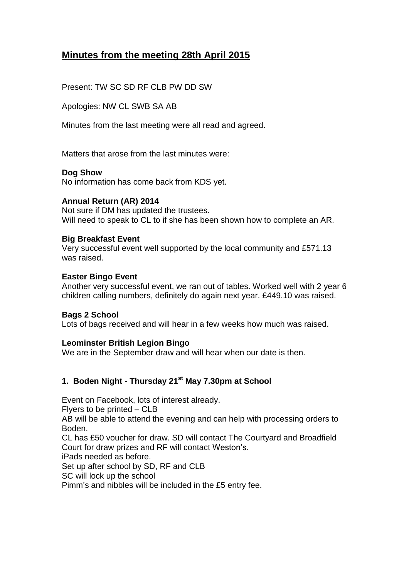# **Minutes from the meeting 28th April 2015**

Present: TW SC SD RF CLB PW DD SW

Apologies: NW CL SWB SA AB

Minutes from the last meeting were all read and agreed.

Matters that arose from the last minutes were:

### **Dog Show**

No information has come back from KDS yet.

### **Annual Return (AR) 2014**

Not sure if DM has updated the trustees. Will need to speak to CL to if she has been shown how to complete an AR.

### **Big Breakfast Event**

Very successful event well supported by the local community and £571.13 was raised.

### **Easter Bingo Event**

Another very successful event, we ran out of tables. Worked well with 2 year 6 children calling numbers, definitely do again next year. £449.10 was raised.

#### **Bags 2 School**

Lots of bags received and will hear in a few weeks how much was raised.

### **Leominster British Legion Bingo**

We are in the September draw and will hear when our date is then.

# **1. Boden Night - Thursday 21st May 7.30pm at School**

Event on Facebook, lots of interest already. Flyers to be printed – CLB AB will be able to attend the evening and can help with processing orders to Boden. CL has £50 voucher for draw. SD will contact The Courtyard and Broadfield Court for draw prizes and RF will contact Weston's. iPads needed as before.

Set up after school by SD, RF and CLB

SC will lock up the school

Pimm's and nibbles will be included in the £5 entry fee.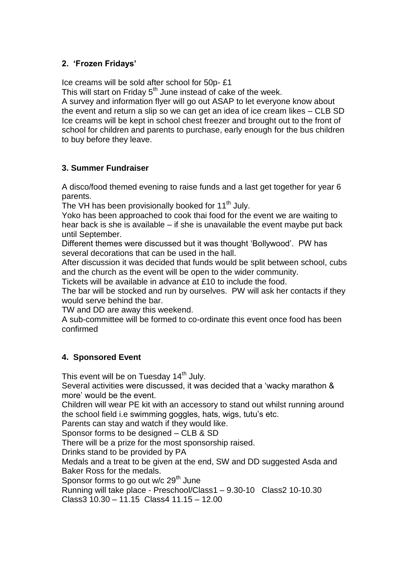## **2. 'Frozen Fridays'**

Ice creams will be sold after school for 50p- £1

This will start on Friday  $5<sup>th</sup>$  June instead of cake of the week.

A survey and information flyer will go out ASAP to let everyone know about the event and return a slip so we can get an idea of ice cream likes – CLB SD Ice creams will be kept in school chest freezer and brought out to the front of school for children and parents to purchase, early enough for the bus children to buy before they leave.

### **3. Summer Fundraiser**

A disco/food themed evening to raise funds and a last get together for year 6 parents.

The VH has been provisionally booked for 11<sup>th</sup> July.

Yoko has been approached to cook thai food for the event we are waiting to hear back is she is available – if she is unavailable the event maybe put back until September.

Different themes were discussed but it was thought 'Bollywood'. PW has several decorations that can be used in the hall.

After discussion it was decided that funds would be split between school, cubs and the church as the event will be open to the wider community.

Tickets will be available in advance at £10 to include the food.

The bar will be stocked and run by ourselves. PW will ask her contacts if they would serve behind the bar.

TW and DD are away this weekend.

A sub-committee will be formed to co-ordinate this event once food has been confirmed

# **4. Sponsored Event**

This event will be on Tuesday  $14<sup>th</sup>$  July.

Several activities were discussed, it was decided that a 'wacky marathon & more' would be the event.

Children will wear PE kit with an accessory to stand out whilst running around the school field i.e swimming goggles, hats, wigs, tutu's etc.

Parents can stay and watch if they would like.

Sponsor forms to be designed – CLB & SD

There will be a prize for the most sponsorship raised.

Drinks stand to be provided by PA

Medals and a treat to be given at the end, SW and DD suggested Asda and Baker Ross for the medals.

Sponsor forms to go out  $w/c$  29<sup>th</sup> June

Running will take place - Preschool/Class1 – 9.30-10 Class2 10-10.30

Class3 10.30 – 11.15 Class4 11.15 – 12.00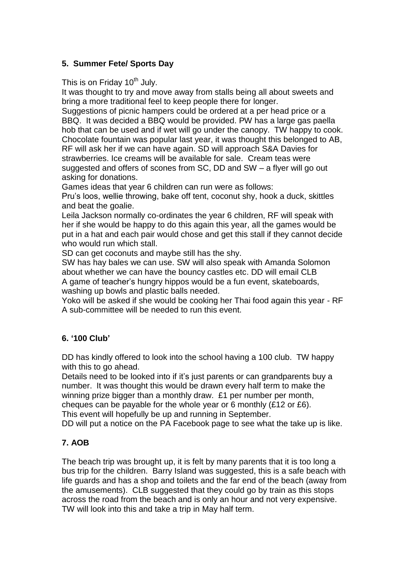# **5. Summer Fete/ Sports Day**

This is on Friday  $10^{th}$  July.

It was thought to try and move away from stalls being all about sweets and bring a more traditional feel to keep people there for longer.

Suggestions of picnic hampers could be ordered at a per head price or a BBQ. It was decided a BBQ would be provided. PW has a large gas paella hob that can be used and if wet will go under the canopy. TW happy to cook. Chocolate fountain was popular last year, it was thought this belonged to AB, RF will ask her if we can have again. SD will approach S&A Davies for strawberries. Ice creams will be available for sale. Cream teas were suggested and offers of scones from SC, DD and SW – a flyer will go out asking for donations.

Games ideas that year 6 children can run were as follows:

Pru's loos, wellie throwing, bake off tent, coconut shy, hook a duck, skittles and beat the goalie.

Leila Jackson normally co-ordinates the year 6 children, RF will speak with her if she would be happy to do this again this year, all the games would be put in a hat and each pair would chose and get this stall if they cannot decide who would run which stall.

SD can get coconuts and maybe still has the shy.

SW has hay bales we can use. SW will also speak with Amanda Solomon about whether we can have the bouncy castles etc. DD will email CLB A game of teacher's hungry hippos would be a fun event, skateboards, washing up bowls and plastic balls needed.

Yoko will be asked if she would be cooking her Thai food again this year - RF A sub-committee will be needed to run this event.

### **6. '100 Club'**

DD has kindly offered to look into the school having a 100 club. TW happy with this to go ahead.

Details need to be looked into if it's just parents or can grandparents buy a number. It was thought this would be drawn every half term to make the winning prize bigger than a monthly draw. £1 per number per month, cheques can be payable for the whole year or 6 monthly (£12 or £6). This event will hopefully be up and running in September.

DD will put a notice on the PA Facebook page to see what the take up is like.

### **7. AOB**

The beach trip was brought up, it is felt by many parents that it is too long a bus trip for the children. Barry Island was suggested, this is a safe beach with life guards and has a shop and toilets and the far end of the beach (away from the amusements). CLB suggested that they could go by train as this stops across the road from the beach and is only an hour and not very expensive. TW will look into this and take a trip in May half term.